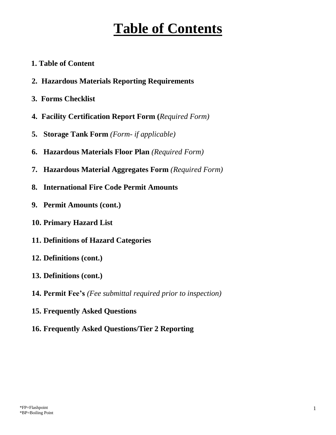# **Table of Contents**

- **1. Table of Content**
- **2. Hazardous Materials Reporting Requirements**
- **3. Forms Checklist**
- **4. Facility Certification Report Form (***Required Form)*
- **5. Storage Tank Form** *(Form- if applicable)*
- **6. Hazardous Materials Floor Plan** *(Required Form)*
- **7. Hazardous Material Aggregates Form** *(Required Form)*
- **8. International Fire Code Permit Amounts**
- **9. Permit Amounts (cont.)**
- **10. Primary Hazard List**
- **11. Definitions of Hazard Categories**
- **12. Definitions (cont.)**
- **13. Definitions (cont.)**
- **14. Permit Fee's** *(Fee submittal required prior to inspection)*
- **15. Frequently Asked Questions**
- **16. Frequently Asked Questions/Tier 2 Reporting**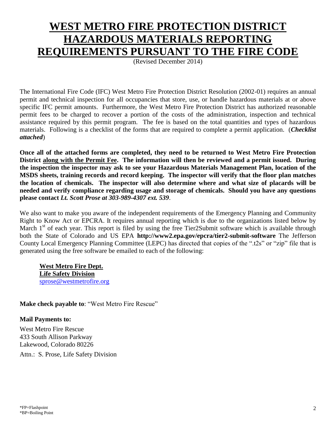## **WEST METRO FIRE PROTECTION DISTRICT HAZARDOUS MATERIALS REPORTING REQUIREMENTS PURSUANT TO THE FIRE CODE**

(Revised December 2014)

The International Fire Code (IFC) West Metro Fire Protection District Resolution (2002-01) requires an annual permit and technical inspection for all occupancies that store, use, or handle hazardous materials at or above specific IFC permit amounts. Furthermore, the West Metro Fire Protection District has authorized reasonable permit fees to be charged to recover a portion of the costs of the administration, inspection and technical assistance required by this permit program. The fee is based on the total quantities and types of hazardous materials. Following is a checklist of the forms that are required to complete a permit application. (*Checklist attached*)

**Once all of the attached forms are completed, they need to be returned to West Metro Fire Protection District along with the Permit Fee. The information will then be reviewed and a permit issued. During the inspection the inspector may ask to see your Hazardous Materials Management Plan, location of the MSDS sheets, training records and record keeping. The inspector will verify that the floor plan matches the location of chemicals. The inspector will also determine where and what size of placards will be needed and verify compliance regarding usage and storage of chemicals. Should you have any questions please contact** *Lt. Scott Prose at 303-989-4307 ext. 539*.

We also want to make you aware of the independent requirements of the Emergency Planning and Community Right to Know Act or EPCRA. It requires annual reporting which is due to the organizations listed below by March  $1<sup>st</sup>$  of each year. This report is filed by using the free Tier2Submit software which is available through both the State of Colorado and US EPA **http://www2.epa.gov/epcra/tier2-submit-software** The Jefferson County Local Emergency Planning Committee (LEPC) has directed that copies of the ".t2s" or "zip" file that is generated using the free software be emailed to each of the following:

**West Metro Fire Dept. Life Safety Division** [sprose@westmetrofire.org](mailto:sprose@westmetrofire.org) 

**Make check payable to**: "West Metro Fire Rescue"

### **Mail Payments to:**

West Metro Fire Rescue 433 South Allison Parkway Lakewood, Colorado 80226

Attn.: S. Prose, Life Safety Division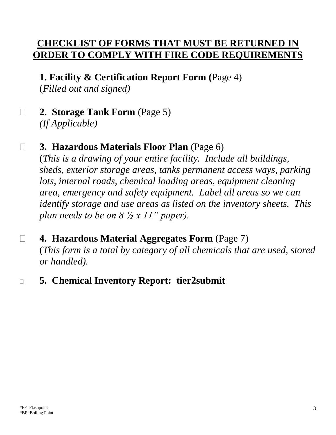## **CHECKLIST OF FORMS THAT MUST BE RETURNED IN ORDER TO COMPLY WITH FIRE CODE REQUIREMENTS**

**1. Facility & Certification Report Form (**Page 4)

(*Filled out and signed)*

**2. Storage Tank Form** (Page 5)

*(If Applicable)*

## **3. Hazardous Materials Floor Plan** (Page 6)

(*This is a drawing of your entire facility. Include all buildings, sheds, exterior storage areas, tanks permanent access ways, parking lots, internal roads, chemical loading areas, equipment cleaning area, emergency and safety equipment. Label all areas so we can identify storage and use areas as listed on the inventory sheets. This plan needs to be on 8 ½ x 11" paper).*

## **4. Hazardous Material Aggregates Form** (Page 7) (*This form is a total by category of all chemicals that are used, stored or handled).*

**5. Chemical Inventory Report: tier2submit**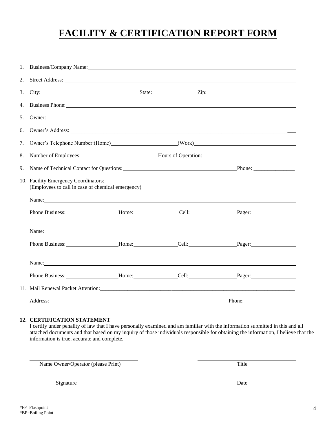## **FACILITY & CERTIFICATION REPORT FORM**

| 1. | Business/Company Name: 1986                                                                                                                                                                                                    |  |  |  |  |  |
|----|--------------------------------------------------------------------------------------------------------------------------------------------------------------------------------------------------------------------------------|--|--|--|--|--|
| 2. |                                                                                                                                                                                                                                |  |  |  |  |  |
| 3. |                                                                                                                                                                                                                                |  |  |  |  |  |
| 4. | Business Phone: New York: New York: New York: New York: New York: New York: New York: New York: New York: New York: New York: New York: New York: New York: New York: New York: New York: New York: New York: New York: New Yo |  |  |  |  |  |
| 5. | Owner: New York State Association of the Contract of the Contract of the Contract of the Contract of the Contract of the Contract of the Contract of the Contract of the Contract of the Contract of the Contract of the Contr |  |  |  |  |  |
| 6. |                                                                                                                                                                                                                                |  |  |  |  |  |
| 7. | Owner's Telephone Number: (Home) (Work) (Work)                                                                                                                                                                                 |  |  |  |  |  |
| 8. | Number of Employees: Mumber of Employees: Mumber of Employees: Mumber of Employees:                                                                                                                                            |  |  |  |  |  |
| 9. | Name of Technical Contact for Questions: Phone: Phone: Phone: 2014                                                                                                                                                             |  |  |  |  |  |
|    | 10. Facility Emergency Coordinators:<br>(Employees to call in case of chemical emergency)                                                                                                                                      |  |  |  |  |  |
|    |                                                                                                                                                                                                                                |  |  |  |  |  |
|    |                                                                                                                                                                                                                                |  |  |  |  |  |
|    | Name: Name: Name: Name: Name: Name: Name: Name: Name: Name: Name: Name: Name: Name: Name: Name: Name: Name: Name: Name: Name: Name: Name: Name: Name: Name: Name: Name: Name: Name: Name: Name: Name: Name: Name: Name: Name:  |  |  |  |  |  |
|    | Phone Business: Mone: Mome: Cell: Pager: Pager:                                                                                                                                                                                |  |  |  |  |  |
|    | Name: Name and the set of the set of the set of the set of the set of the set of the set of the set of the set of the set of the set of the set of the set of the set of the set of the set of the set of the set of the set o |  |  |  |  |  |
|    |                                                                                                                                                                                                                                |  |  |  |  |  |
|    |                                                                                                                                                                                                                                |  |  |  |  |  |
|    | Address:                                                                                                                                                                                                                       |  |  |  |  |  |

#### **12. CERTIFICATION STATEMENT**

I certify under penality of law that I have personally examined and am familiar with the information submitted in this and all attached documents and that based on my inquiry of those individuals responsible for obtaining the information, I believe that the information is true, accurate and complete.

Name Owner/Operator (please Print) Title

Signature Date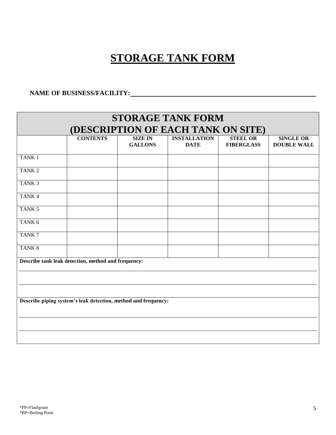## **STORAGE TANK FORM**

### **NAME OF BUSINESS/FACILITY:**

| <b>STORAGE TANK FORM</b>                                       |                                                     |                |                     |                   |                    |
|----------------------------------------------------------------|-----------------------------------------------------|----------------|---------------------|-------------------|--------------------|
| (DESCRIPTION OF EACH TANK ON SITE)                             |                                                     |                |                     |                   |                    |
|                                                                | <b>CONTENTS</b>                                     | <b>SIZE IN</b> | <b>INSTALLATION</b> | <b>STEEL OR</b>   | <b>SINGLE OR</b>   |
|                                                                |                                                     | <b>GALLONS</b> | <b>DATE</b>         | <b>FIBERGLASS</b> | <b>DOUBLE WALL</b> |
| TANK <sub>1</sub>                                              |                                                     |                |                     |                   |                    |
| TANK <sub>2</sub>                                              |                                                     |                |                     |                   |                    |
| TANK <sub>3</sub>                                              |                                                     |                |                     |                   |                    |
| TANK <sub>4</sub>                                              |                                                     |                |                     |                   |                    |
| TANK <sub>5</sub>                                              |                                                     |                |                     |                   |                    |
| TANK <sub>6</sub>                                              |                                                     |                |                     |                   |                    |
| TANK7                                                          |                                                     |                |                     |                   |                    |
| TANK <sub>8</sub>                                              |                                                     |                |                     |                   |                    |
|                                                                | Describe tank leak detection, method and frequency: |                |                     |                   |                    |
|                                                                |                                                     |                |                     |                   |                    |
|                                                                |                                                     |                |                     |                   |                    |
| Describe piping system's leak detection, method and frequency: |                                                     |                |                     |                   |                    |
|                                                                |                                                     |                |                     |                   |                    |
|                                                                |                                                     |                |                     |                   |                    |
|                                                                |                                                     |                |                     |                   |                    |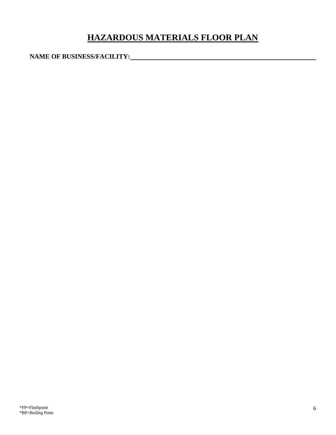## **HAZARDOUS MATERIALS FLOOR PLAN**

**NAME OF BUSINESS/FACILITY:**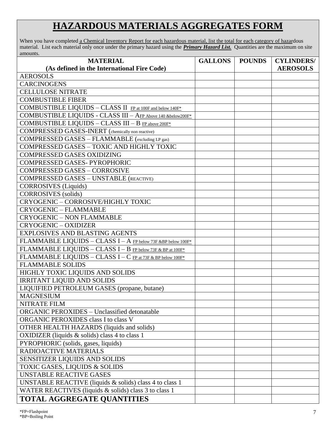## **HAZARDOUS MATERIALS AGGREGATES FORM**

When you have completed a Chemical Inventory Report for each hazardous material, list the total for each category of hazardous material. List each material only once under the primary hazard using the *Primary Hazard List.* Quantities are the maximum on site amounts.

| <b>MATERIAL</b>                                              | <b>GALLONS</b> | <b>POUNDS</b> | <b>CYLINDERS/</b> |
|--------------------------------------------------------------|----------------|---------------|-------------------|
| (As defined in the International Fire Code)                  |                |               | <b>AEROSOLS</b>   |
| <b>AEROSOLS</b>                                              |                |               |                   |
| <b>CARCINOGENS</b>                                           |                |               |                   |
| <b>CELLULOSE NITRATE</b>                                     |                |               |                   |
| <b>COMBUSTIBLE FIBER</b>                                     |                |               |                   |
| COMBUSTIBLE LIQUIDS - CLASS II FP at 100F and below 140F*    |                |               |                   |
| COMBUSTIBLE LIQUIDS - CLASS III - AFP Above 140 &below200F*  |                |               |                   |
| COMBUSTIBLE LIQUIDS - CLASS III - B FP above 200F*           |                |               |                   |
| <b>COMPRESSED GASES-INERT</b> (chemically non reactive)      |                |               |                   |
| COMPRESSED GASES - FLAMMABLE (excluding LP gas)              |                |               |                   |
| COMPRESSED GASES - TOXIC AND HIGHLY TOXIC                    |                |               |                   |
| <b>COMPRESSED GASES OXIDIZING</b>                            |                |               |                   |
| COMPRESSED GASES-PYROPHORIC                                  |                |               |                   |
| <b>COMPRESSED GASES - CORROSIVE</b>                          |                |               |                   |
| <b>COMPRESSED GASES - UNSTABLE (REACTIVE)</b>                |                |               |                   |
| <b>CORROSIVES</b> (Liquids)                                  |                |               |                   |
| <b>CORROSIVES</b> (solids)                                   |                |               |                   |
| CRYOGENIC - CORROSIVE/HIGHLY TOXIC                           |                |               |                   |
| <b>CRYOGENIC - FLAMMABLE</b>                                 |                |               |                   |
| <b>CRYOGENIC - NON FLAMMABLE</b>                             |                |               |                   |
| <b>CRYOGENIC - OXIDIZER</b>                                  |                |               |                   |
| <b>EXPLOSIVES AND BLASTING AGENTS</b>                        |                |               |                   |
| FLAMMABLE LIQUIDS - CLASS I - A FP below 73F &BP below 100F* |                |               |                   |
| FLAMMABLE LIQUIDS - CLASS I - B FP below 73F & BP at 100F*   |                |               |                   |
| FLAMMABLE LIQUIDS - CLASS I - C FP at 73F & BP below 100F*   |                |               |                   |
| <b>FLAMMABLE SOLIDS</b>                                      |                |               |                   |
| HIGHLY TOXIC LIQUIDS AND SOLIDS                              |                |               |                   |
| <b>IRRITANT LIQUID AND SOLIDS</b>                            |                |               |                   |
| LIQUIFIED PETROLEUM GASES (propane, butane)                  |                |               |                   |
| <b>MAGNESIUM</b>                                             |                |               |                   |
| NITRATE FILM                                                 |                |               |                   |
| <b>ORGANIC PEROXIDES - Unclassified detonatable</b>          |                |               |                   |
| ORGANIC PEROXIDES class I to class V                         |                |               |                   |
| <b>OTHER HEALTH HAZARDS</b> (liquids and solids)             |                |               |                   |
| OXIDIZER (liquids $&$ solids) class 4 to class 1             |                |               |                   |
| PYROPHORIC (solids, gases, liquids)                          |                |               |                   |
| RADIOACTIVE MATERIALS                                        |                |               |                   |
| SENSITIZER LIQUIDS AND SOLIDS                                |                |               |                   |
| <b>TOXIC GASES, LIQUIDS &amp; SOLIDS</b>                     |                |               |                   |
| <b>UNSTABLE REACTIVE GASES</b>                               |                |               |                   |
| UNSTABLE REACTIVE (liquids & solids) class 4 to class 1      |                |               |                   |
| WATER REACTIVES (liquids & solids) class 3 to class 1        |                |               |                   |
| <b>TOTAL AGGREGATE QUANTITIES</b>                            |                |               |                   |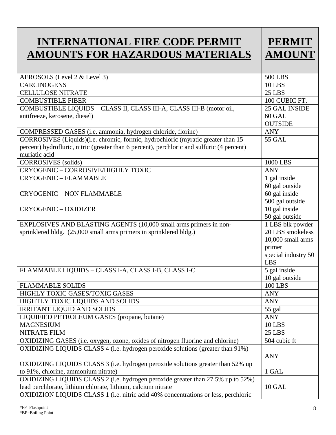## **INTERNATIONAL FIRE CODE PERMIT AMOUNTS FOR HAZARDOUS MATERIALS**



| AEROSOLS (Level 2 & Level 3)                                                               | <b>500 LBS</b>      |
|--------------------------------------------------------------------------------------------|---------------------|
| <b>CARCINOGENS</b>                                                                         | <b>10 LBS</b>       |
| <b>CELLULOSE NITRATE</b>                                                                   | <b>25 LBS</b>       |
| <b>COMBUSTIBLE FIBER</b>                                                                   | 100 CUBIC FT.       |
| COMBUSTIBLE LIQUIDS - CLASS II, CLASS III-A, CLASS III-B (motor oil,                       | 25 GAL INSIDE       |
| antifreeze, kerosene, diesel)                                                              | 60 GAL              |
|                                                                                            | <b>OUTSIDE</b>      |
| COMPRESSED GASES (i.e. ammonia, hydrogen chloride, florine)                                | <b>ANY</b>          |
| CORROSIVES (Liquids)(i.e. chromic, formic, hydrochloric (myratic greater than 15           | <b>55 GAL</b>       |
| percent) hydrofluric, nitric (greater than 6 percent), perchloric and sulfuric (4 percent) |                     |
| muriatic acid                                                                              |                     |
| <b>CORROSIVES</b> (solids)                                                                 | 1000 LBS            |
| CRYOGENIC - CORROSIVE/HIGHLY TOXIC                                                         | <b>ANY</b>          |
| <b>CRYOGENIC - FLAMMABLE</b>                                                               | 1 gal inside        |
|                                                                                            | 60 gal outside      |
| <b>CRYOGENIC - NON FLAMMABLE</b>                                                           | 60 gal inside       |
|                                                                                            | 500 gal outside     |
| <b>CRYOGENIC - OXIDIZER</b>                                                                | 10 gal inside       |
|                                                                                            | 50 gal outside      |
| EXPLOSIVES AND BLASTING AGENTS (10,000 small arms primers in non-                          | 1 LBS blk powder    |
| sprinklered bldg. (25,000 small arms primers in sprinklered bldg.)                         | 20 LBS smokeless    |
|                                                                                            | 10,000 small arms   |
|                                                                                            | primer              |
|                                                                                            | special industry 50 |
|                                                                                            | <b>LBS</b>          |
| FLAMMABLE LIQUIDS - CLASS I-A, CLASS I-B, CLASS I-C                                        | 5 gal inside        |
|                                                                                            | 10 gal outside      |
| <b>FLAMMABLE SOLIDS</b>                                                                    | <b>100 LBS</b>      |
| HIGHLY TOXIC GASES/TOXIC GASES                                                             | <b>ANY</b>          |
| HIGHTLY TOXIC LIQUIDS AND SOLIDS                                                           | <b>ANY</b>          |
| <b>IRRITANT LIQUID AND SOLIDS</b>                                                          | 55 gal              |
| LIQUIFIED PETROLEUM GASES (propane, butane)                                                | ANY                 |
| <b>MAGNESIUM</b>                                                                           | <b>10 LBS</b>       |
| NITRATE FILM                                                                               | 25 LBS              |
| OXIDIZING GASES (i.e. oxygen, ozone, oxides of nitrogen fluorine and chlorine)             | 504 cubic ft        |
| OXIDIZING LIQUIDS CLASS 4 (i.e. hydrogen peroxide solutions (greater than 91%)             |                     |
|                                                                                            | <b>ANY</b>          |
| OXIDIZING LIQUIDS CLASS 3 (i.e. hydrogen peroxide solutions greater than 52% up            |                     |
| to 91%, chlorine, ammonium nitrate)                                                        | 1 GAL               |
| OXIDIZING LIQUIDS CLASS 2 (i.e. hydrogen peroxide greater than 27.5% up to 52%)            |                     |
| lead perchlorate, lithium chlorate, lithium, calcium nitrate                               | 10 GAL              |
| OXIDIZION LIQUIDS CLASS 1 (i.e. nitric acid 40% concentrations or less, perchloric         |                     |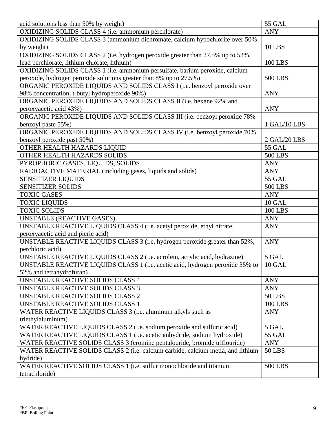| acid solutions less than 50% by weight)                                         | 55 GAL         |
|---------------------------------------------------------------------------------|----------------|
| OXIDIZING SOLIDS CLASS 4 (i.e. ammonium perchlorate)                            | <b>ANY</b>     |
| OXIDIZING SOLIDS CLASS 3 (ammonium dichromate, calcium hypochlorite over 50%    |                |
| by weight)                                                                      | <b>10 LBS</b>  |
| OXIDIZING SOLIDS CLASS 2 (i.e. hydrogen peroxide greater than 27.5% up to 52%,  |                |
| lead perchlorate, lithium chlorate, lithium)                                    | <b>100 LBS</b> |
| OXIDIZING SOLIDS CLASS 1 (i.e. ammonium persulfate, barium peroxide, calcium    |                |
| peroxide, hydrogen peroxide solutions greater than 8% up to 27.5%)              | <b>500 LBS</b> |
| ORGANIC PEROXIDE LIQUIDS AND SOLIDS CLASS I (i.e. benzoyl peroxide over         |                |
| 98% concentration, t-butyl hydroperoxide 90%)                                   | <b>ANY</b>     |
| ORGANIC PEROXIDE LIQUIDS AND SOLIDS CLASS II (i.e. hexane 92% and               |                |
| peroxyacetic acid 43%)                                                          | <b>ANY</b>     |
| ORGANIC PEROXIDE LIQUIDS AND SOLIDS CLASS III (i.e. benzoyl peroxide 78%        |                |
| benzoyl paste 55%)                                                              | 1 GAL/10 LBS   |
| ORGANIC PEROXIDE LIQUIDS AND SOLIDS CLASS IV (i.e. benzoyl peroxide 70%         |                |
| benzoyl peroxide past 50%)                                                      | 2 GAL/20 LBS   |
| OTHER HEALTH HAZARDS LIQUID                                                     | <b>55 GAL</b>  |
| OTHER HEALTH HAZARDS SOLIDS                                                     | <b>500 LBS</b> |
| PYROPHORIC GASES, LIQUIDS, SOLIDS                                               | <b>ANY</b>     |
| RADIOACTIVE MATERIAL (including gases, liquids and solids)                      | <b>ANY</b>     |
| <b>SENSITIZER LIQUIDS</b>                                                       | <b>55 GAL</b>  |
| <b>SENSITIZER SOLIDS</b>                                                        | <b>500 LBS</b> |
| <b>TOXIC GASES</b>                                                              | <b>ANY</b>     |
| <b>TOXIC LIQUIDS</b>                                                            | 10 GAL         |
| <b>TOXIC SOLIDS</b>                                                             | <b>100 LBS</b> |
| <b>UNSTABLE (REACTIVE GASES)</b>                                                | <b>ANY</b>     |
| UNSTABLE REACTIVE LIQUIDS CLASS 4 (i.e. acetyl peroxide, ethyl nitrate,         | <b>ANY</b>     |
| peroxyacetic acid and picric acid)                                              |                |
| UNSTABLE REACTIVE LIQUIDS CLASS 3 (i.e. hydrogen peroxide greater than 52%,     | <b>ANY</b>     |
| perchloric acid)                                                                |                |
| UNSTABLE REACTIVE LIQUIDS CLASS 2 (i.e. acrolein, acrylic acid, hydrazine)      | 5 GAL          |
| UNSTABLE REACTIVE LIQUIDS CLASS 1 (i.e. acetic acid, hydrogen peroxide 35% to   | 10 GAL         |
| 52% and tetrahydrofuran)                                                        |                |
| <b>UNSTABLE REACTIVE SOLIDS CLASS 4</b>                                         | <b>ANY</b>     |
| <b>UNSTABLE REACTIVE SOLIDS CLASS 3</b>                                         | <b>ANY</b>     |
| <b>UNSTABLE REACTIVE SOLIDS CLASS 2</b>                                         | <b>50 LBS</b>  |
| <b>UNSTABLE REACTIVE SOLIDS CLASS 1</b>                                         | <b>100 LBS</b> |
| WATER REACTIVE LIQUIDS CLASS 3 (i.e. aluminum alkyls such as                    | <b>ANY</b>     |
| triethylaluminum)                                                               |                |
| WATER REACTIVE LIQUIDS CLASS 2 (i.e. sodium peroxide and sulfuric acid)         | 5 GAL          |
| WATER REACTIVE LIQUIDS CLASS 1 (i.e. acetic anhydride, sodium hydroxide)        | <b>55 GAL</b>  |
| WATER REACTIVE SOLIDS CLASS 3 (cromine pentalouride, bromide triflouride)       | <b>ANY</b>     |
| WATER REACTIVE SOLIDS CLASS 2 (i.e. calcium carbide, calcium metla, and lithium | <b>50 LBS</b>  |
| hydride)                                                                        |                |
| WATER REACTIVE SOLIDS CLASS 1 (i.e. sulfur monochloride and titanium            | <b>500 LBS</b> |
| tetrachloride)                                                                  |                |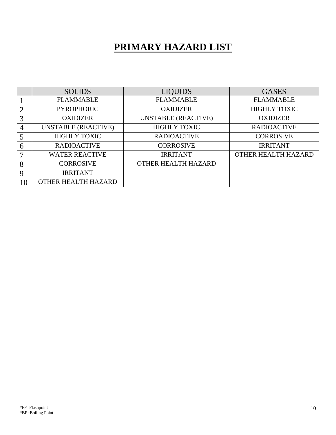## **PRIMARY HAZARD LIST**

|             | <b>SOLIDS</b>              | <b>LIQUIDS</b>             | <b>GASES</b>        |
|-------------|----------------------------|----------------------------|---------------------|
|             | <b>FLAMMABLE</b>           | <b>FLAMMABLE</b>           | <b>FLAMMABLE</b>    |
| 2           | <b>PYROPHORIC</b>          | <b>OXIDIZER</b>            | <b>HIGHLY TOXIC</b> |
| 3           | <b>OXIDIZER</b>            | <b>UNSTABLE (REACTIVE)</b> | <b>OXIDIZER</b>     |
| 4           | <b>UNSTABLE (REACTIVE)</b> | <b>HIGHLY TOXIC</b>        | <b>RADIOACTIVE</b>  |
|             | <b>HIGHLY TOXIC</b>        | <b>RADIOACTIVE</b>         | <b>CORROSIVE</b>    |
| 6           | <b>RADIOACTIVE</b>         | <b>CORROSIVE</b>           | <b>IRRITANT</b>     |
| 7           | <b>WATER REACTIVE</b>      | <b>IRRITANT</b>            | OTHER HEALTH HAZARD |
| 8           | <b>CORROSIVE</b>           | OTHER HEALTH HAZARD        |                     |
| $\mathbf Q$ | <b>IRRITANT</b>            |                            |                     |
| 10          | OTHER HEALTH HAZARD        |                            |                     |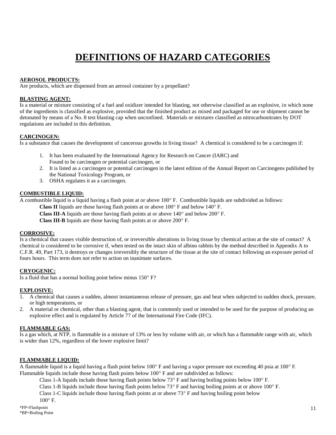## **DEFINITIONS OF HAZARD CATEGORIES**

#### **AEROSOL PRODUCTS:**

Are products, which are dispensed from an aerosol container by a propellant?

#### **BLASTING AGENT:**

Is a material or mixture consisting of a fuel and oxidizer intended for blasting, not otherwise classified as an explosive, in which none of the ingredients is classified as explosive, provided that the finished product as mixed and packaged for use or shipment cannot be detonated by means of a No. 8 test blasting cap when unconfined. Materials or mixtures classified as nitrocarbonitrates by DOT regulations are included in this definition.

#### **CARCINOGEN:**

Is a substance that causes the development of cancerous growths in living tissue? A chemical is considered to be a carcinogen if:

- 1. It has been evaluated by the International Agency for Research on Cancer (IARC) and Found to be carcinogen or potential carcinogen, or
- 2. It is listed as a carcinogen or potential carcinogen in the latest edition of the Annual Report on Carcinogens published by the National Toxicology Program, or
- 3. OSHA regulates it as a carcinogen.

#### **COMBUSTIBLE LIQUID:**

A combustible liquid is a liquid having a flash point at or above  $100^{\circ}$  F. Combustible liquids are subdivided as follows:

**Class II** liquids are those having flash points at or above  $100^{\circ}$  F and below  $140^{\circ}$  F.

**Class III-A** liquids are those having flash points at or above  $140^\circ$  and below  $200^\circ$  F.

**Class III-B** liquids are those having flash points at or above 200° F.

#### **CORROSIVE:**

Is a chemical that causes visible destruction of, or irreversible alterations in living tissue by chemical action at the site of contact? A chemical is considered to be corrosive if, when tested on the intact skin of albino rabbits by the method described in Appendix A to C.F.R. 49, Part 173, it destroys or changes irreversibly the structure of the tissue at the site of contact following an exposure period of fours hours. This term does not refer to action on inanimate surfaces.

#### **CRYOGENIC:**

Is a fluid that has a normal boiling point below minus  $150^{\circ}$  F?

#### **EXPLOSIVE:**

- 1. A chemical that causes a sudden, almost instantaneous release of pressure, gas and heat when subjected to sudden shock, pressure, or high temperatures, or
- 2. A material or chemical, other than a blasting agent, that is commonly used or intended to be used for the purpose of producing an explosive effect and is regulated by Article 77 of the International Fire Code (IFC).

#### **FLAMMABLE GAS:**

Is a gas which, at NTP, is flammable in a mixture of 13% or less by volume with air, or which has a flammable range with air, which is wider than 12%, regardless of the lower explosive limit?

#### **FLAMMABLE LIQUID:**

A flammable liquid is a liquid having a flash point below  $100^{\circ}$  F and having a vapor pressure not exceeding 40 psia at  $100^{\circ}$  F. Flammable liquids include those having flash points below  $100^\circ$  F and are subdivided as follows:

Class 1-A liquids include those having flash points below  $73^{\circ}$  F and having boiling points below  $100^{\circ}$  F.

Class 1-B liquids include those having flash points below  $73^{\circ}$  F and having boiling points at or above 100 $^{\circ}$  F.

Class 1-C liquids include those having flash points at or above  $73^{\circ}$  F and having boiling point below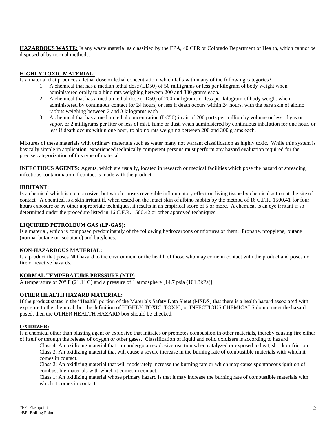**HAZARDOUS WASTE:** Is any waste material as classified by the EPA, 40 CFR or Colorado Department of Health, which cannot be disposed of by normal methods.

#### **HIGHLY TOXIC MATERIAL:**

Is a material that produces a lethal dose or lethal concentration, which falls within any of the following categories?

- 1. A chemical that has a median lethal dose (LD50) of 50 milligrams or less per kilogram of body weight when administered orally to albino rats weighing between 200 and 300 grams each.
- 2. A chemical that has a median lethal dose (LD50) of 200 milligrams or less per kilogram of body weight when administered by continuous contact for 24 hours, or less if death occurs within 24 hours, with the bare skin of albino rabbits weighing between 2 and 3 kilograms each.
- 3. A chemical that has a median lethal concentration (LC50) in air of 200 parts per million by volume or less of gas or vapor, or 2 milligrams per liter or less of mist, fume or dust, when administered by continuous inhalation for one hour, or less if death occurs within one hour, to albino rats weighing between 200 and 300 grams each.

Mixtures of these materials with ordinary materials such as water many not warrant classification as highly toxic. While this system is basically simple in application, experienced technically competent persons must perform any hazard evaluation required for the precise categorization of this type of material.

**INFECTIOUS AGENTS:** Agents, which are usually, located in research or medical facilities which pose the hazard of spreading infectious contamination if contact is made with the product.

#### **IRRITANT:**

Is a chemical which is not corrosive, but which causes reversible inflammatory effect on living tissue by chemical action at the site of contact. A chemical is a skin irritant if, when tested on the intact skin of albino rabbits by the method of 16 C.F.R. 1500.41 for four hours exposure or by other appropriate techniques, it results in an empirical score of 5 or more. A chemical is an eye irritant if so determined under the procedure listed in 16 C.F.R. 1500.42 or other approved techniques.

#### **LIQUIFIED PETROLEUM GAS (LP-GAS):**

Is a material, which is composed predominantly of the following hydrocarbons or mixtures of them: Propane, propylene, butane (normal butane or isobutane) and butylenes.

#### **NON-HAZARDOUS MATERIAL:**

Is a product that poses NO hazard to the environment or the health of those who may come in contact with the product and poses no fire or reactive hazards.

#### **NORMAL TEMPERATURE PRESSURE (NTP)**

A temperature of 70 $\degree$  F (21.1 $\degree$  C) and a pressure of 1 atmosphere [14.7 psia (101.3kPa)]

#### **OTHER HEALTH HAZARD MATERIAL:**

If the product states in the "Health" portion of the Materials Safety Data Sheet (MSDS) that there is a health hazard associated with exposure to the chemical, but the definition of HIGHLY TOXIC, TOXIC, or INFECTIOUS CHEMICALS do not meet the hazard posed, then the OTHER HEALTH HAZARD box should be checked.

#### **OXIDIZER:**

Is a chemical other than blasting agent or explosive that initiates or promotes combustion in other materials, thereby causing fire either of itself or through the release of oxygen or other gases. Classification of liquid and solid oxidizers is according to hazard

Class 4: An oxidizing material that can undergo an explosive reaction when catalyzed or exposed to heat, shock or friction. Class 3: An oxidizing material that will cause a severe increase in the burning rate of combustible materials with which it comes in contact.

Class 2: An oxidizing material that will moderately increase the burning rate or which may cause spontaneous ignition of combustible materials with which it comes in contact.

Class 1: An oxidizing material whose primary hazard is that it may increase the burning rate of combustible materials with which it comes in contact.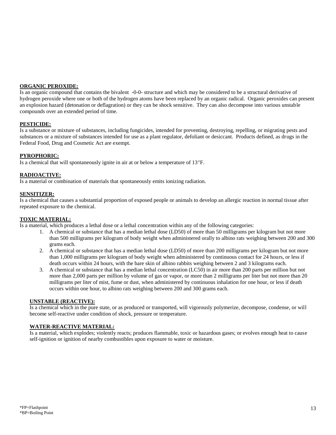#### **ORGANIC PEROXIDE:**

Is an organic compound that contains the bivalent -0-0- structure and which may be considered to be a structural derivative of hydrogen peroxide where one or both of the hydrogen atoms have been replaced by an organic radical. Organic peroxides can present an explosion hazard (detonation or deflagration) or they can be shock sensitive. They can also decompose into various unstable compounds over an extended period of time.

#### **PESTICIDE:**

Is a substance or mixture of substances, including fungicides, intended for preventing, destroying, repelling, or migrating pests and substances or a mixture of substances intended for use as a plant regulator, defoliant or desiccant. Products defined, as drugs in the Federal Food, Drug and Cosmetic Act are exempt.

#### **PYROPHORIC:**

Is a chemical that will spontaneously ignite in air at or below a temperature of  $13^{\circ}$ F.

#### **RADIOACTIVE:**

Is a material or combination of materials that spontaneously emits ionizing radiation.

#### **SENSITIZER:**

Is a chemical that causes a substantial proportion of exposed people or animals to develop an allergic reaction in normal tissue after repeated exposure to the chemical.

#### **TOXIC MATERIAL:**

Is a material, which produces a lethal dose or a lethal concentration within any of the following categories:

- 1. A chemical or substance that has a median lethal dose (LD50) of more than 50 milligrams per kilogram but not more than 500 milligrams per kilogram of body weight when administered orally to albino rats weighing between 200 and 300 grams each.
- 2. A chemical or substance that has a median lethal dose (LD50) of more than 200 milligrams per kilogram but not more than 1,000 milligrams per kilogram of body weight when administered by continuous contact for 24 hours, or less if death occurs within 24 hours, with the bare skin of albino rabbits weighing between 2 and 3 kilograms each.
- 3. A chemical or substance that has a median lethal concentration (LC50) in air more than 200 parts per million but not more than 2,000 parts per million by volume of gas or vapor, or more than 2 milligrams per liter but not more than 20 milligrams per liter of mist, fume or dust, when administered by continuous inhalation for one hour, or less if death occurs within one hour, to albino rats weighing between 200 and 300 grams each.

#### **UNSTABLE (REACTIVE):**

Is a chemical which in the pure state, or as produced or transported, will vigorously polymerize, decompose, condense, or will become self-reactive under condition of shock, pressure or temperature.

#### **WATER-REACTIVE MATERIAL:**

Is a material, which explodes; violently reacts; produces flammable, toxic or hazardous gases; or evolves enough heat to cause self-ignition or ignition of nearby combustibles upon exposure to water or moisture.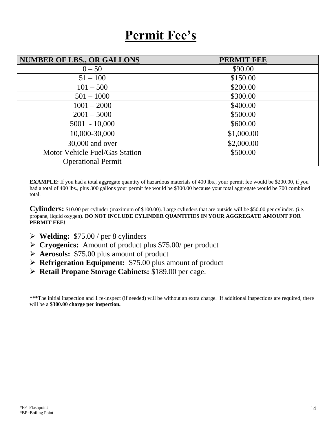# **Permit Fee's**

| <b>NUMBER OF LBS., OR GALLONS</b> | <b>PERMIT FEE</b> |
|-----------------------------------|-------------------|
| $0 - 50$                          | \$90.00           |
| $51 - 100$                        | \$150.00          |
| $101 - 500$                       | \$200.00          |
| $501 - 1000$                      | \$300.00          |
| $1001 - 2000$                     | \$400.00          |
| $2001 - 5000$                     | \$500.00          |
| $5001 - 10,000$                   | \$600.00          |
| 10,000-30,000                     | \$1,000.00        |
| 30,000 and over                   | \$2,000.00        |
| Motor Vehicle Fuel/Gas Station    | \$500.00          |
| <b>Operational Permit</b>         |                   |

**EXAMPLE:** If you had a total aggregate quantity of hazardous materials of 400 lbs., your permit fee would be \$200.00, if you had a total of 400 lbs., plus 300 gallons your permit fee would be \$300.00 because your total aggregate would be 700 combined total.

**Cylinders:** \$10.00 per cylinder (maximum of \$100.00). Large cylinders that are outside will be \$50.00 per cylinder. (i.e. propane, liquid oxygen). **DO NOT INCLUDE CYLINDER QUANTITIES IN YOUR AGGREGATE AMOUNT FOR PERMIT FEE!**

- **Welding:** \$75.00 / per 8 cylinders
- **Cryogenics:** Amount of product plus \$75.00/ per product
- **Aerosols:** \$75.00 plus amount of product
- **Refrigeration Equipment:** \$75.00 plus amount of product
- **Retail Propane Storage Cabinets:** \$189.00 per cage.

**\*\*\***The initial inspection and 1 re-inspect (if needed) will be without an extra charge. If additional inspections are required, there will be a **\$300.00 charge per inspection.**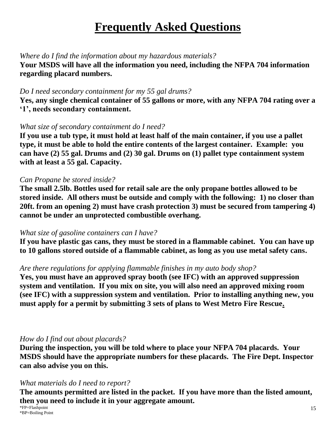# **Frequently Asked Questions**

### *Where do I find the information about my hazardous materials?*

**Your MSDS will have all the information you need, including the NFPA 704 information regarding placard numbers.**

### *Do I need secondary containment for my 55 gal drums?*

**Yes, any single chemical container of 55 gallons or more, with any NFPA 704 rating over a '1', needs secondary containment.**

### *What size of secondary containment do I need?*

**If you use a tub type, it must hold at least half of the main container, if you use a pallet type, it must be able to hold the entire contents of the largest container. Example: you can have (2) 55 gal. Drums and (2) 30 gal. Drums on (1) pallet type containment system with at least a 55 gal. Capacity.**

### *Can Propane be stored inside?*

**The small 2.5lb. Bottles used for retail sale are the only propane bottles allowed to be stored inside. All others must be outside and comply with the following: 1) no closer than 20ft. from an opening 2) must have crash protection 3) must be secured from tampering 4) cannot be under an unprotected combustible overhang.**

## *What size of gasoline containers can I have?*

**If you have plastic gas cans, they must be stored in a flammable cabinet. You can have up to 10 gallons stored outside of a flammable cabinet, as long as you use metal safety cans.**

### *Are there regulations for applying flammable finishes in my auto body shop?*

**Yes, you must have an approved spray booth (see IFC) with an approved suppression system and ventilation. If you mix on site, you will also need an approved mixing room (see IFC) with a suppression system and ventilation. Prior to installing anything new, you must apply for a permit by submitting 3 sets of plans to West Metro Fire Rescue.**

## *How do I find out about placards?*

**During the inspection, you will be told where to place your NFPA 704 placards. Your MSDS should have the appropriate numbers for these placards. The Fire Dept. Inspector can also advise you on this.**

### *What materials do I need to report?*

**The amounts permitted are listed in the packet. If you have more than the listed amount, then you need to include it in your aggregate amount.**